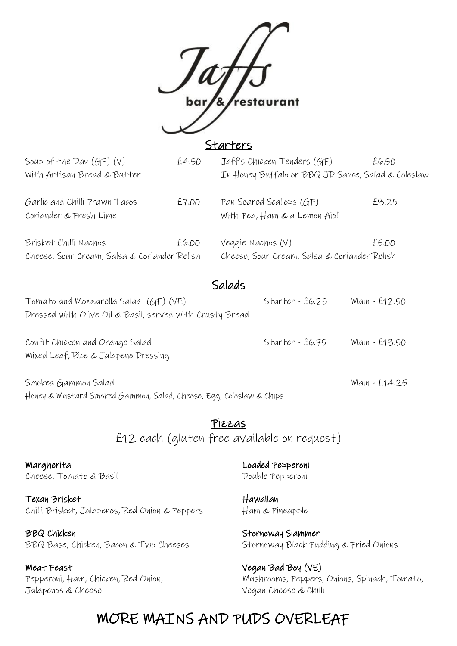

#### **Starters**

| Soup of the Day $(GF)(V)$                               | £4.50 | Jaff's Chicken Tenders (GF)                               | £6.50 |
|---------------------------------------------------------|-------|-----------------------------------------------------------|-------|
| With Artisan Bread & Butter                             |       | In Honey Buffalo or BBQ JD Sauce, Salad & Coleslaw        |       |
| Garlic and Chilli Prawn Tacos<br>Coriander & Fresh Lime | £7.00 | Pan Seared Scallops (GF)<br>With Pea, Ham & a Lemon Aioli | £8,25 |
| Brisket Chilli Nachos                                   | E6.00 | Veggie Nachos (V)                                         | £5.00 |
| Cheese, Sour Cream, Salsa & Coriander Relish            |       | Cheese, Sour Cream, Salsa & Coriander Relish              |       |
|                                                         |       | $\sim$ . $\sim$ . $\sim$                                  |       |

### Salads

| Tomato and Mozzarella Salad $(GF)(VE)$<br>Dressed with Olive Oil & Basil, served with Crusty Bread | Starter - $E6.25$ | Main - £12.50 |
|----------------------------------------------------------------------------------------------------|-------------------|---------------|
|                                                                                                    |                   |               |
| Confit Chicken and Orange Salad<br>Mixed Leaf, Rice & Jalapeno Dressing                            | Starter - $E6.75$ | Main - £13.50 |
| Smoked Gammon Salad                                                                                |                   | Main - £14.25 |

Honey & Mustard Smoked Gammon, Salad, Cheese, Egg, Coleslaw & Chips

Pizzas £12 each (gluten free available on request)

Margherita Loaded Pepperoni Cheese, Tomato & Basil Cheese, Tomato & Basil

Texan Brisket Hawaiian Chilli Brisket, Jalapenos, Red Onion & Peppers Ham & Pineapple

BBQ Chicken Stornoway Slammer BBQ Base, Chicken, Bacon & Two Cheeses Stornoway Black Pudding & Fried Onions

Weat Feast **Vegan Bad Boy (VE)** Jalapenos & Cheese Vegan Cheese & Chilli

Pepperoni, Ham, Chicken, Red Onion, Mushrooms, Peppers, Onions, Spinach, Tomato,

# MORE MAINS AND PUDS OVERLEAF